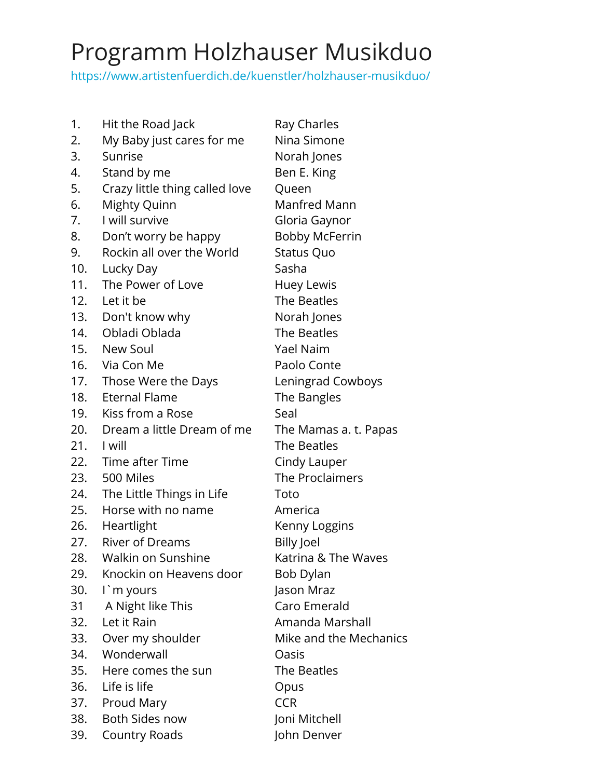## Programm Holzhauser Musikduo

[https://www.artistenfuerdich.de/kuenstler/holzhauser-musikduo/](https://www.artistenfuerdich.de/?p=1977&preview=true)

| 1.  | Hit the Road Jack              | Ray Charles            |
|-----|--------------------------------|------------------------|
| 2.  | My Baby just cares for me      | Nina Simone            |
| 3.  | Sunrise                        | Norah Jones            |
| 4.  | Stand by me                    | Ben E. King            |
| 5.  | Crazy little thing called love | Queen                  |
| 6.  | Mighty Quinn                   | <b>Manfred Mann</b>    |
| 7.  | I will survive                 | Gloria Gaynor          |
| 8.  | Don't worry be happy           | <b>Bobby McFerrin</b>  |
| 9.  | Rockin all over the World      | <b>Status Quo</b>      |
| 10. | Lucky Day                      | Sasha                  |
| 11. | The Power of Love              | Huey Lewis             |
|     | 12. Let it be                  | The Beatles            |
|     | 13. Don't know why             | Norah Jones            |
|     | 14. Obladi Oblada              | The Beatles            |
|     | 15. New Soul                   | Yael Naim              |
|     | 16. Via Con Me                 | Paolo Conte            |
|     | 17. Those Were the Days        | Leningrad Cowboys      |
| 18. | <b>Eternal Flame</b>           | The Bangles            |
| 19. | Kiss from a Rose               | Seal                   |
| 20. | Dream a little Dream of me     | The Mamas a. t. Papas  |
|     | 21. I will                     | The Beatles            |
|     | 22. Time after Time            | Cindy Lauper           |
|     | 23. 500 Miles                  | The Proclaimers        |
| 24. | The Little Things in Life      | Toto                   |
| 25. | Horse with no name             | America                |
|     | 26. Heartlight                 | Kenny Loggins          |
| 27. | River of Dreams                | <b>Billy Joel</b>      |
| 28. | Walkin on Sunshine             | Katrina & The Waves    |
| 29. | Knockin on Heavens door        | Bob Dylan              |
| 30. | I`m yours                      | Jason Mraz             |
| 31  | A Night like This              | Caro Emerald           |
| 32. | Let it Rain                    | Amanda Marshall        |
| 33. | Over my shoulder               | Mike and the Mechanics |
| 34. | Wonderwall                     | Oasis                  |
|     | 35. Here comes the sun         | The Beatles            |
| 36. | Life is life                   | Opus                   |
| 37. | Proud Mary                     | <b>CCR</b>             |
| 38. | Both Sides now                 | Joni Mitchell          |
| 39. | <b>Country Roads</b>           | John Denver            |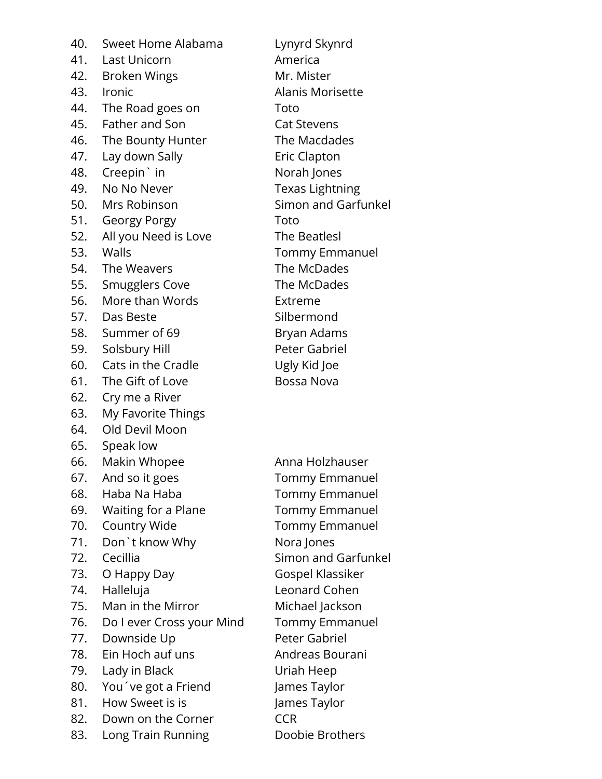40. Sweet Home Alabama Lynyrd Skynrd 41. Last Unicorn America 42. Broken Wings Mr. Mister 43. Ironic **Alanis Morisette** 44. The Road goes on Toto 45. Father and Son Cat Stevens 46. The Bounty Hunter The Macdades 47. Lay down Sally **Example 20** Eric Clapton 48. Creepin' in Norah Jones 49. No No Never Texas Lightning 50. Mrs Robinson Simon and Garfunkel 51. Georgy Porgy **Toto** 52. All you Need is Love The Beatlesl 53. Walls Tommy Emmanuel 54. The Weavers The McDades 55. Smugglers Cove The McDades 56. More than Words Extreme 57. Das Beste Silbermond 58. Summer of 69 Bryan Adams 59. Solsbury Hill Peter Gabriel 60. Cats in the Cradle Ugly Kid Joe 61. The Gift of Love Bossa Nova 62. Cry me a River 63. My Favorite Things 64. Old Devil Moon 65. Speak low 66. Makin Whopee Anna Holzhauser 67. And so it goes Tommy Emmanuel 68. Haba Na Haba Tommy Emmanuel 69. Waiting for a Plane Tommy Emmanuel 70. Country Wide Tommy Emmanuel 71. Don't know Why Nora Jones 72. Cecillia Simon and Garfunkel 73. O Happy Day Gospel Klassiker 74. Halleluja Leonard Cohen 75. Man in the Mirror Michael Jackson 76. Do I ever Cross your Mind Tommy Emmanuel 77. Downside Up Peter Gabriel 78. Ein Hoch auf uns Franch and Andreas Bourani 79. Lady in Black Uriah Heep 80. You've got a Friend James Taylor 81. How Sweet is is James Taylor 82. Down on the Corner CCR 83. Long Train Running Doobie Brothers